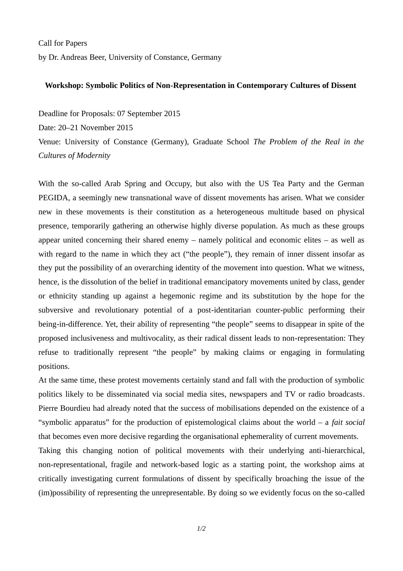Call for Papers by Dr. Andreas Beer, University of Constance, Germany

## **Workshop: Symbolic Politics of Non-Representation in Contemporary Cultures of Dissent**

Deadline for Proposals: 07 September 2015

Date: 20–21 November 2015

Venue: University of Constance (Germany), Graduate School *The Problem of the Real in the Cultures of Modernity*

With the so-called Arab Spring and Occupy, but also with the US Tea Party and the German PEGIDA, a seemingly new transnational wave of dissent movements has arisen. What we consider new in these movements is their constitution as a heterogeneous multitude based on physical presence, temporarily gathering an otherwise highly diverse population. As much as these groups appear united concerning their shared enemy – namely political and economic elites – as well as with regard to the name in which they act ("the people"), they remain of inner dissent insofar as they put the possibility of an overarching identity of the movement into question. What we witness, hence, is the dissolution of the belief in traditional emancipatory movements united by class, gender or ethnicity standing up against a hegemonic regime and its substitution by the hope for the subversive and revolutionary potential of a post-identitarian counter-public performing their being-in-difference. Yet, their ability of representing "the people" seems to disappear in spite of the proposed inclusiveness and multivocality, as their radical dissent leads to non-representation: They refuse to traditionally represent "the people" by making claims or engaging in formulating positions.

At the same time, these protest movements certainly stand and fall with the production of symbolic politics likely to be disseminated via social media sites, newspapers and TV or radio broadcasts. Pierre Bourdieu had already noted that the success of mobilisations depended on the existence of a "symbolic apparatus" for the production of epistemological claims about the world – a *fait social* that becomes even more decisive regarding the organisational ephemerality of current movements.

Taking this changing notion of political movements with their underlying anti-hierarchical, non-representational, fragile and network-based logic as a starting point, the workshop aims at critically investigating current formulations of dissent by specifically broaching the issue of the (im)possibility of representing the unrepresentable. By doing so we evidently focus on the so-called